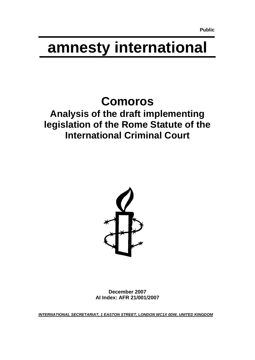# **amnesty international**

## <span id="page-0-0"></span>**Comoros**

### <span id="page-0-2"></span><span id="page-0-1"></span>**Analysis of the draft implementing legislation of the Rome Statute of the International Criminal Court**



**December 2007 AI Index: AFR 21/001/2007**

*INTERNATIONAL SECRETARIAT, 1 EASTON STREET, LONDON WC1X 0DW, UNITED KINGDOM*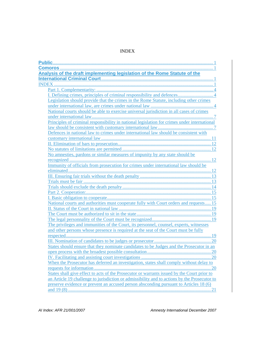#### INDEX

<span id="page-2-0"></span>

| Analysis of the draft implementing legislation of the Rome Statute of the                    |
|----------------------------------------------------------------------------------------------|
|                                                                                              |
|                                                                                              |
|                                                                                              |
|                                                                                              |
| Legislation should provide that the crimes in the Rome Statute, including other crimes       |
|                                                                                              |
| National courts should be able to exercise universal jurisdiction in all cases of crimes     |
|                                                                                              |
| Principles of criminal responsibility in national legislation for crimes under international |
|                                                                                              |
| Defences in national law to crimes under international law should be consistent with         |
|                                                                                              |
|                                                                                              |
|                                                                                              |
| No amnesties, pardons or similar measures of impunity by any state should be                 |
|                                                                                              |
| Immunity of officials from prosecution for crimes under international law should be          |
|                                                                                              |
|                                                                                              |
|                                                                                              |
|                                                                                              |
|                                                                                              |
|                                                                                              |
| National courts and authorities must cooperate fully with Court orders and requests 15       |
|                                                                                              |
|                                                                                              |
|                                                                                              |
| The privileges and immunities of the Court, its personnel, counsel, experts, witnesses       |
| and other persons whose presence is required at the seat of the Court must be fully          |
|                                                                                              |
|                                                                                              |
| States should ensure that they nominate candidates to be Judges and the Prosecutor in an     |
|                                                                                              |
|                                                                                              |
| When the Prosecutor has deferred an investigation, states shall comply without delay to      |
|                                                                                              |
| States shall give effect to acts of the Prosecutor or warrants issued by the Court prior to  |
| an Article 19 challenge to jurisdiction or admissibility and to actions by the Prosecutor to |
| preserve evidence or prevent an accused person absconding pursuant to Articles 18 (6)        |
|                                                                                              |

*AI Index: AFR 21/001/2007 Amnesty International December 2007*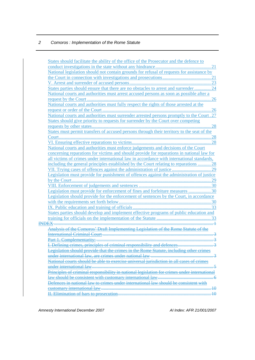| States should facilitate the ability of the office of the Prosecutor and the defence to      |  |
|----------------------------------------------------------------------------------------------|--|
|                                                                                              |  |
| National legislation should not contain grounds for refusal of requests for assistance by    |  |
|                                                                                              |  |
|                                                                                              |  |
| States parties should ensure that there are no obstacles to arrest and surrender  24         |  |
| National courts and authorities must arrest accused persons as soon as possible after a      |  |
|                                                                                              |  |
| National courts and authorities must fully respect the rights of those arrested at the       |  |
|                                                                                              |  |
| National courts and authorities must surrender arrested persons promptly to the Court. 27    |  |
| States should give priority to requests for surrender by the Court over competing            |  |
|                                                                                              |  |
| States must permit transfers of accused persons through their territory to the seat of the   |  |
|                                                                                              |  |
|                                                                                              |  |
| National courts and authorities must enforce judgements and decisions of the Court           |  |
| concerning reparations for victims and should provide for reparations in national law for    |  |
| all victims of crimes under international law in accordance with international standards,    |  |
| including the general principles established by the Court relating to reparations  28        |  |
|                                                                                              |  |
| Legislation must provide for punishment of offences against the administration of justice    |  |
|                                                                                              |  |
|                                                                                              |  |
| Legislation must provide for enforcement of fines and forfeiture measures  30                |  |
| Legislation should provide for the enforcement of sentences by the Court, in accordance      |  |
|                                                                                              |  |
|                                                                                              |  |
| States parties should develop and implement effective programs of public education and       |  |
|                                                                                              |  |
|                                                                                              |  |
| Analysis of the Comoros' Draft Implementing Legislation of the Rome Statute of the           |  |
|                                                                                              |  |
|                                                                                              |  |
|                                                                                              |  |
| Legislation should provide that the crimes in the Rome Statute, including other crimes       |  |
|                                                                                              |  |
| National courts should be able to exercise universal jurisdiction in all cases of crimes     |  |
|                                                                                              |  |
| Principles of criminal responsibility in national legislation for crimes under international |  |
| law should be consistent with customary international law                                    |  |
| Defences in national law to crimes under international law should be consistent with         |  |
|                                                                                              |  |
|                                                                                              |  |
|                                                                                              |  |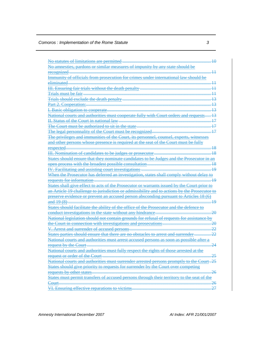| No statutes of limitations are permitted                                                       |                 |
|------------------------------------------------------------------------------------------------|-----------------|
| No amnesties, pardons or similar measures of impunity by any state should be                   |                 |
| recognized                                                                                     |                 |
| Immunity of officials from prosecution for crimes under international law should be            |                 |
| eliminated                                                                                     |                 |
| <b>III.</b> Ensuring fair trials without the death penalty                                     |                 |
| <b>Trials must be fair</b>                                                                     |                 |
| Trials should exclude the death penalty                                                        |                 |
| Part 2. Cooperation:                                                                           |                 |
| I. Basic obligation to cooperate                                                               |                 |
| National courts and authorities must cooperate fully with Court orders and requests            |                 |
| <b>H. Status of the Court in national law</b>                                                  |                 |
| The Court must be authorized to sit in the state                                               |                 |
| The legal personnality of the Court must be recognized                                         |                 |
| The privileges and immunities of the Court, its personnel                                      |                 |
| and other persons whose presence is required at the seat of the Court must be fully            |                 |
| respected                                                                                      |                 |
| III. Nomination of candidates to be judges or prosecutor                                       |                 |
| States should ensure that they nominate candidates to be Judges and the Prosecutor in an       |                 |
|                                                                                                | $^{18}$         |
| <b>IV.</b> Facilitating and assisting court investigations                                     | $\overline{19}$ |
| When the Prosecutor has deferred an investigation, states shall comply without delay to        |                 |
| requests for information                                                                       | 10              |
| States shall give effect to acts of the Prosecutor or warrants issued by the Court prior to    |                 |
| an Article 19 challenge to jurisdiction or admissibility and to actions by the Prosecutor to   |                 |
| preserve evidence or prevent an accused person absconding pursuant to Articles 18 (6)          |                 |
| and 19 (8)                                                                                     | 19              |
| States should facilitate the ability of the office of the Prosecutor and the defence to        |                 |
| conduct investigations in the state without any hindrance                                      | 20              |
| National legislation should not contain grounds for refusal of requests for assistance         |                 |
| the Court in connection with investigations and prosecutions.                                  | 20              |
| Arrest and surrender of accused persons                                                        |                 |
| States parties should ensure that there are no obstacles to arrest and surrender               |                 |
| National courts and authorities must arrest accused persons as soon as possible after a        |                 |
| request by the Court                                                                           |                 |
| <u>National courts and authorities must fully respect the rights of those arrested at the </u> |                 |
| <del>or order of the</del>                                                                     |                 |
| National courts and authorities must surrender arrested                                        | 25              |
| priority to requests for surrender by the Court over competing                                 |                 |
| requests by other states                                                                       | 26              |
| States must permit transfers of accused persons through their territory to the seat of the     |                 |
| Court                                                                                          | 26              |
| VI. Ensuring effective reparations to victims                                                  |                 |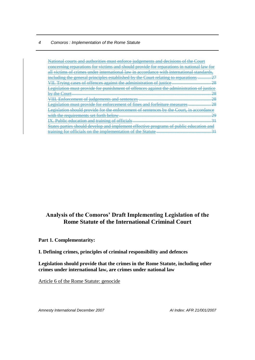| National courts and authorities must enforce judgements and decisions of the Court                                              |
|---------------------------------------------------------------------------------------------------------------------------------|
| concerning reparations for victims and should provide for reparations in national law for                                       |
| <u>all victims of crimes under international law in accordance with international standards.</u>                                |
| including the general principles established by the Court relating to reparations                                               |
| VII. Trying cases of offences against the administration of justice                                                             |
| Legislation must provide for punishment of offences against the administration of justice                                       |
| റ<br>$\mathbf{h}$ v the Court                                                                                                   |
| 28                                                                                                                              |
| $\Omega$<br><b>Legislation must provide for enforcement of fines and forfeiture measures </b>                                   |
| Legislation should provide for the enforcement of sentences by the Court, in accordance                                         |
|                                                                                                                                 |
| <b>Dublic education and training of officials</b><br><u>IA. Public education and training of officials ……………………………………………………</u> |
| States parties should develop and implement effective programs of public education and                                          |
| training for officials on the implementation of the Statute                                                                     |

#### **Analysis of the Comoros' Draft Implementing Legislation of the Rome Statute of the International Criminal Court**

<span id="page-5-0"></span>**Part 1. Complementarity:** 

#### <span id="page-5-1"></span>**I. Defining crimes, principles of criminal responsibility and defences**

<span id="page-5-2"></span>**Legislation should provide that the crimes in the Rome Statute, including other crimes under international law, are crimes under national law**

Article 6 of the Rome Statute: genocide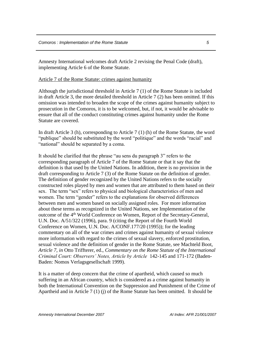Amnesty International welcomes draft Article 2 revising the Penal Code (draft), implementing Article 6 of the Rome Statute.

Article 7 of the Rome Statute: crimes against humanity

Although the jurisdictional threshold in Article 7 (1) of the Rome Statute is included in draft Article 3, the more detailed threshold in Article 7 (2) has been omitted. If this omission was intended to broaden the scope of the crimes against humanity subject to prosecution in the Comoros, it is to be welcomed, but, if not, it would be advisable to ensure that all of the conduct constituting crimes against humanity under the Rome Statute are covered.

In draft Article 3 (h), corresponding to Article 7 (1) (h) of the Rome Statute, the word "publique" should be substituted by the word "politique" and the words "racial" and "national" should be separated by a coma.

It should be clarified that the phrase "au sens du paragraph 3" refers to the corresponding paragraph of Article 7 of the Rome Statute or that it say that the definition is that used by the United Nations. In addition, there is no provision in the draft corresponding to Article 7 (3) of the Rome Statute on the definition of gender. The definition of gender recognized by the United Nations refers to the socially constructed roles played by men and women that are attributed to them based on their sex. The term "sex" refers to physical and biological characteristics of men and women. The term "gender" refers to the explanations for observed differences between men and women based on socially assigned roles. For more information about these terms as recognized in the United Nations, see Implementation of the outcome of the 4th World Conference on Women, Report of the Secretary-General, U.N. Doc. A/51/322 (1996), para. 9 (citing the Report of the Fourth World Conference on Women, U.N. Doc. A/CONF.177/20 (1995)); for the leading commentary on all of the war crimes and crimes against humanity of sexual violence more information with regard to the crimes of sexual slavery, enforced prostitution, sexual violence and the definition of gender in the Rome Statute, see Machteld Boot, *Article 7*, *in* Otto Triffterer, ed., *Commentary on the Rome Statute of the International Criminal Court: Observers' Notes, Article by Article* 142-145 and 171-172 (Baden-Baden: Nomos Verlagsgesellschaft 1999).

It is a matter of deep concern that the crime of apartheid, which caused so much suffering in an African country, which is considered as a crime against humanity in both the International Convention on the Suppression and Punishment of the Crime of Apartheid and in Article 7 (1) (j) of the Rome Statute has been omitted. It should be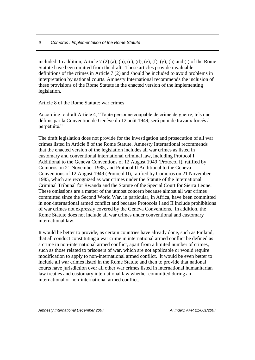included. In addition, Article 7 (2) (a), (b), (c), (d), (e), (f), (g), (h) and (i) of the Rome Statute have been omitted from the draft. These articles provide invaluable definitions of the crimes in Article 7 (2) and should be included to avoid problems in interpretation by national courts. Amnesty International recommends the inclusion of these provisions of the Rome Statute in the enacted version of the implementing legislation.

#### Article 8 of the Rome Statute: war crimes

According to draft Article 4, "Toute personne coupable de crime de guerre, tels que définis par la Convention de Genève du 12 août 1949, será puni de travaux forcés à perpétuité."

The draft legislation does not provide for the investigation and prosecution of all war crimes listed in Article 8 of the Rome Statute. Amnesty International recommends that the enacted version of the legislation includes all war crimes as listed in customary and conventional international criminal law, including Protocol I Additional to the Geneva Conventions of 12 August 1949 (Protocol I), ratified by Comoros on 21 November 1985, and Protocol II Additional to the Geneva Conventions of 12 August 1949 (Protocol II), ratified by Comoros on 21 November 1985, which are recognized as war crimes under the Statute of the International Criminal Tribunal for Rwanda and the Statute of the Special Court for Sierra Leone. These omissions are a matter of the utmost concern because almost all war crimes committed since the Second World War, in particular, in Africa, have been committed in non-international armed conflict and because Protocols I and II include prohibitions of war crimes not expressly covered by the Geneva Conventions. In addition, the Rome Statute does not include all war crimes under conventional and customary international law.

It would be better to provide, as certain countries have already done, such as Finland, that all conduct constituting a war crime in international armed conflict be defined as a crime in non-international armed conflict, apart from a limited number of crimes, such as those related to prisoners of war, which are not applicable or would require modification to apply to non-international armed conflict. It would be even better to include all war crimes listed in the Rome Statute and then to provide that national courts have jurisdiction over all other war crimes listed in international humanitarian law treaties and customary international law whether committed during an international or non-international armed conflict.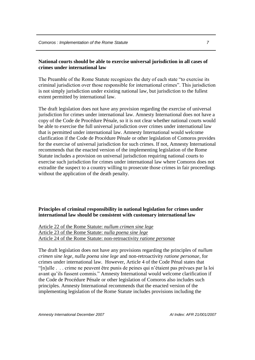#### <span id="page-8-0"></span>**National courts should be able to exercise universal jurisdiction in all cases of crimes under international law**

The Preamble of the Rome Statute recognizes the duty of each state "to exercise its criminal jurisdiction over those responsible for international crimes". This jurisdiction is not simply jurisdiction under existing national law, but jurisdiction to the fullest extent permitted by international law.

The draft legislation does not have any provision regarding the exercise of universal jurisdiction for crimes under international law. Amnesty International does not have a copy of the Code de Procédure Pénale, so it is not clear whether national courts would be able to exercise the full universal jurisdiction over crimes under international law that is permitted under international law. Amnesty International would welcome clarification if the Code de Procédure Pénale or other legislation of Comoros provides for the exercise of universal jurisdiction for such crimes. If not, Amnesty International recommends that the enacted version of the implementing legislation of the Rome Statute includes a provision on universal jurisdiction requiring national courts to exercise such jurisdiction for crimes under international law where Comoros does not extradite the suspect to a country willing to prosecute those crimes in fair proceedings without the application of the death penalty.

#### <span id="page-8-1"></span>**Principles of criminal responsibility in national legislation for crimes under international law should be consistent with customary international law**

Article 22 of the Rome Statute: *nullum crimen sine lege* Article 23 of the Rome Statute: *nulla poena sine lege* Article 24 of the Rome Statute: non-retroactivity *ratione personae*

The draft legislation does not have any provisions regarding the principles of *nullum crimen sine lege*, *nulla poena sine lege* and non-retroactivity *ratione personae*, for crimes under international law. However, Article 4 of the Code Pénal states that "[n]ulle . . . crime ne peuvent être punis de peines qui n'étaient pas prévues par la loi avant qu'ils fussent commis." Amnesty International would welcome clarification if the Code de Procédure Pénale or other legislation of Comoros also includes such principles. Amnesty International recommends that the enacted version of the implementing legislation of the Rome Statute includes provisions including the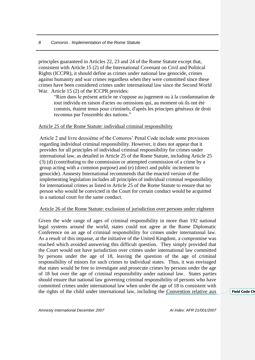principles guaranteed in Articles 22, 23 and 24 of the Rome Statute except that, consistent with Article 15 (2) of the International Covenant on Civil and Political Rights (ICCPR), it should define as crimes under national law genocide, crimes against humanity and war crimes regardless when they were committed since these crimes have been considered crimes under international law since the Second World War. Article 15 (2) of the ICCPR provides:

"Rien dans le présent article ne s'oppose au jugement ou à la condamnation de tout individu en raison d'actes ou omissions qui, au moment où ils ont été commis, étaient tenus pour criminels, d'après les principes généraux de droit reconnus par l'ensemble des nations."

#### Article 25 of the Rome Statute: individual criminal responsibility

Article 2 and livre deuxiéme of the Comoros' Penal Code include some provisions regarding individual criminal responsibility. However, it does not appear that it provides for all principles of individual criminal responsibility for crimes under international law, as detailed in Article 25 of the Rome Statute, including Article 25 (3) (d) (contributing to the commission or attempted commission of a crime by a group acting with a common purpose) and (e) (direct and public incitement to genocide). Amnesty International recommends that the enacted version of the implementing legislation includes all principles of individual criminal responsibility for international crimes as listed in Article 25 of the Rome Statute to ensure that no person who would be convicted in the Court for certain conduct would be acquitted in a national court for the same conduct.

#### Article 26 of the Rome Statute: exclusion of jurisdiction over persons under eighteen

Given the wide range of ages of criminal responsibility in more than 192 national legal systems around the world, states could not agree at the Rome Diplomatic Conference on an age of criminal responsibility for crimes under international law. As a result of this impasse, at the initiative of the United Kingdom, a compromise was reached which avoided answering this difficult question. They simply provided that the Court would not have jurisdiction over crimes under international law committed by persons under the age of 18, leaving the question of the age of criminal responsibility of minors for such crimes to individual states. Thus, it was envisaged that states would be free to investigate and prosecute crimes by persons under the age of 18 but over the age of criminal responsibility under national law. States parties should ensure that national law governing criminal responsibility of persons who have committed crimes under international law when under the age of 18 is consistent with the rights of the child under international law, including the [Convention relative aux](crc.htm) **Field Code Change**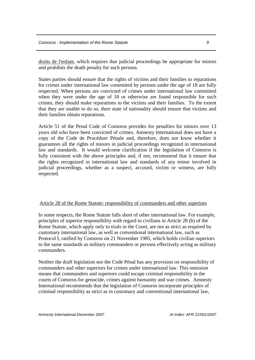[droits de l'enfant,](crc.htm) which requires that judicial proceedings be appropriate for minors and prohibits the death penalty for such persons.

States parties should ensure that the rights of victims and their families to reparations for crimes under international law committed by persons under the age of 18 are fully respected. When persons are convicted of crimes under international law committed when they were under the age of 18 or otherwise are found responsible for such crimes, they should make reparations to the victims and their families. To the extent that they are unable to do so, their state of nationality should ensure that victims and their families obtain reparations.

Article 51 of the Penal Code of Comoros provides for penalties for minors over 13 years old who have been convicted of crimes. Amnesty International does not have a copy of the Code de Procédure Pénale and, therefore, does not know whether it guarantees all the rights of minors in judicial proceedings recognized in international law and standards. It would welcome clarification if the legislation of Comoros is fully consistent with the above principles and, if not, recommend that it ensure that the rights recognized in international law and standards of any minor involved in judicial proceedings, whether as a suspect, accused, victim or witness, are fully respected.

#### Article 28 of the Rome Statute: responsibility of commanders and other superiors

In some respects, the Rome Statute falls short of other international law. For example, principles of superior responsibility with regard to civilians in Article 28 (b) of the Rome Statute, which apply only to trials in the Court, are not as strict as required by customary international law, as well as conventional international law, such as Protocol I, ratified by Comoros on 21 November 1985, which holds civilian superiors to the same standards as military commanders or persons effectively acting as military commanders.

Neither the draft legislation nor the Code Pénal has any provision on responsibility of commanders and other superiors for crimes under international law. This omission means that commanders and superiors could escape criminal responsibility in the courts of Comoros for genocide, crimes against humanity and war crimes. Amnesty International recommends that the legislation of Comoros incorporate principles of criminal responsibility as strict as in customary and conventional international law,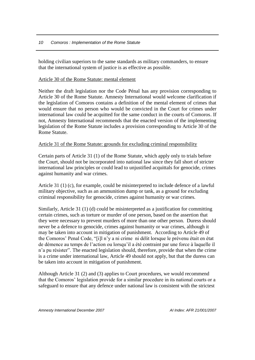holding civilian superiors to the same standards as military commanders, to ensure that the international system of justice is as effective as possible.

#### Article 30 of the Rome Statute: mental element

Neither the draft legislation nor the Code Pénal has any provision corresponding to Article 30 of the Rome Statute. Amnesty International would welcome clarification if the legislation of Comoros contains a definition of the mental element of crimes that would ensure that no person who would be convicted in the Court for crimes under international law could be acquitted for the same conduct in the courts of Comoros. If not, Amnesty International recommends that the enacted version of the implementing legislation of the Rome Statute includes a provision corresponding to Article 30 of the Rome Statute.

#### Article 31 of the Rome Statute: grounds for excluding criminal responsibility

Certain parts of Article 31 (1) of the Rome Statute, which apply only to trials before the Court, should not be incorporated into national law since they fall short of stricter international law principles or could lead to unjustified acquittals for genocide, crimes against humanity and war crimes.

Article 31 (1) (c), for example, could be misinterpreted to include defence of a lawful military objective, such as an ammunition dump or tank, as a ground for excluding criminal responsibility for genocide, crimes against humanity or war crimes.

Similarly, Article 31 (1) (d) could be misinterpreted as a justification for committing certain crimes, such as torture or murder of one person, based on the assertion that they were necessary to prevent murders of more than one other person. Duress should never be a defence to genocide, crimes against humanity or war crimes, although it may be taken into account in mitigation of punishment. According to Article 49 of the Comoros' Penal Code, "[i]l n'y a ni crime ni délit lorsque le prévenu était en état de démence au temps de l'action ou lorsqu'il a été contraint par une force à laquelle il n'a pu résister". The enacted legislation should, therefore, provide that when the crime is a crime under international law, Article 49 should not apply, but that the duress can be taken into account in mitigation of punishment.

Although Article 31 (2) and (3) applies to Court procedures, we would recommend that the Comoros' legislation provide for a similar procedure in its national courts or a safeguard to ensure that any defence under national law is consistent with the strictest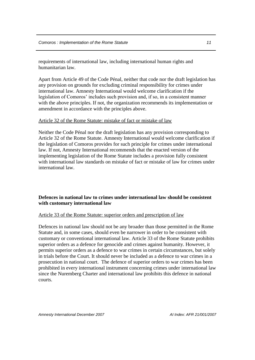requirements of international law, including international human rights and humanitarian law.

Apart from Article 49 of the Code Pénal, neither that code nor the draft legislation has any provision on grounds for excluding criminal responsibility for crimes under international law. Amnesty International would welcome clarification if the legislation of Comoros' includes such provision and, if so, in a consistent manner with the above principles. If not, the organization recommends its implementation or amendment in accordance with the principles above.

#### Article 32 of the Rome Statute: mistake of fact or mistake of law

Neither the Code Pénal nor the draft legislation has any provision corresponding to Article 32 of the Rome Statute. Amnesty International would welcome clarification if the legislation of Comoros provides for such principle for crimes under international law. If not, Amnesty International recommends that the enacted version of the implementing legislation of the Rome Statute includes a provision fully consistent with international law standards on mistake of fact or mistake of law for crimes under international law.

#### <span id="page-12-0"></span>**Defences in national law to crimes under international law should be consistent with customary international law**

#### Article 33 of the Rome Statute: superior orders and prescription of law

Defences in national law should not be any broader than those permitted in the Rome Statute and, in some cases, should even be narrower in order to be consistent with customary or conventional international law. Article 33 of the Rome Statute prohibits superior orders as a defence for genocide and crimes against humanity. However, it permits superior orders as a defence to war crimes in certain circumstances, but solely in trials before the Court. It should never be included as a defence to war crimes in a prosecution in national court. The defence of superior orders to war crimes has been prohibited in every international instrument concerning crimes under international law since the Nuremberg Charter and international law prohibits this defence in national courts.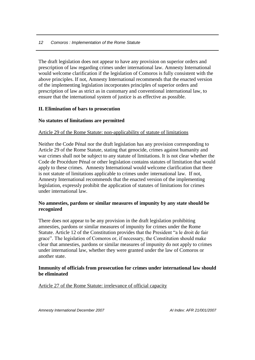The draft legislation does not appear to have any provision on superior orders and prescription of law regarding crimes under international law. Amnesty International would welcome clarification if the legislation of Comoros is fully consistent with the above principles. If not, Amnesty International recommends that the enacted version of the implementing legislation incorporates principles of superior orders and prescription of law as strict as in customary and conventional international law, to ensure that the international system of justice is as effective as possible.

#### <span id="page-13-0"></span>**II. Elimination of bars to prosecution**

#### <span id="page-13-1"></span>**No statutes of limitations are permitted**

#### Article 29 of the Rome Statute: non-applicability of statute of limitations

Neither the Code Pénal nor the draft legislation has any provision corresponding to Article 29 of the Rome Statute, stating that genocide, crimes against humanity and war crimes shall not be subject to any statute of limitations. It is not clear whether the Code de Procédure Pénal or other legislation contains statutes of limitation that would apply to these crimes. Amnesty International would welcome clarification that there is not statute of limitations applicable to crimes under international law. If not, Amnesty International recommends that the enacted version of the implementing legislation, expressly prohibit the application of statutes of limitations for crimes under international law.

#### <span id="page-13-2"></span>**No amnesties, pardons or similar measures of impunity by any state should be recognized**

There does not appear to be any provision in the draft legislation prohibiting amnesties, pardons or similar measures of impunity for crimes under the Rome Statute. Article 12 of the Constitution provides that the President "a le droit de fair grace". The legislation of Comoros or, if necessary, the Constitution should make clear that amnesties, pardons or similar measures of impunity do not apply to crimes under international law, whether they were granted under the law of Comoros or another state.

#### <span id="page-13-3"></span>**Immunity of officials from prosecution for crimes under international law should be eliminated**

Article 27 of the Rome Statute: irrelevance of official capacity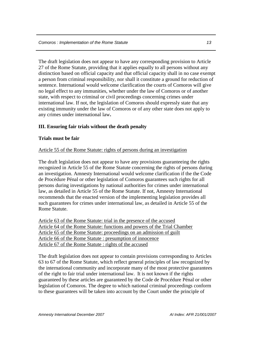The draft legislation does not appear to have any corresponding provision to Article 27 of the Rome Statute, providing that it applies equally to all persons without any distinction based on official capacity and that official capacity shall in no case exempt a person from criminal responsibility, nor shall it constitute a ground for reduction of sentence. International would welcome clarification the courts of Comoros will give no legal effect to any immunities, whether under the law of Comoros or of another state, with respect to criminal or civil proceedings concerning crimes under international law. If not, the legislation of Comoros should expressly state that any existing immunity under the law of Comoros or of any other state does not apply to any crimes under international law**.**

#### <span id="page-14-0"></span>**III. Ensuring fair trials without the death penalty**

#### <span id="page-14-1"></span>**Trials must be fair**

#### Article 55 of the Rome Statute: rights of persons during an investigation

The draft legislation does not appear to have any provisions guaranteeing the rights recognized in Article 55 of the Rome Statute concerning the rights of persons during an investigation. Amnesty International would welcome clarification if the the Code de Procédure Pénal or other legislation of Comoros guarantees such rights for all persons during investigations by national authorities for crimes under international law, as detailed in Article 55 of the Rome Statute. If not, Amnesty International recommends that the enacted version of the implementing legislation provides all such guarantees for crimes under international law, as detailed in Article 55 of the Rome Statute.

Article 63 of the Rome Statute: trial in the presence of the accused Article 64 of the Rome Statute: functions and powers of the Trial Chamber Article 65 of the Rome Statute: proceedings on an admission of guilt Article 66 of the Rome Statute : presumption of innocence Article 67 of the Rome Statute : rights of the accused

The draft legislation does not appear to contain provisions corresponding to Articles 63 to 67 of the Rome Statute, which reflect general principles of law recognized by the international community and incorporate many of the most protective guarantees of the right to fair trial under international law. It is not known if the rights guaranteed by these articles are guaranteed by the Code de Procédure Pénal or other legislation of Comoros. The degree to which national criminal proceedings conform to these guarantees will be taken into account by the Court under the principle of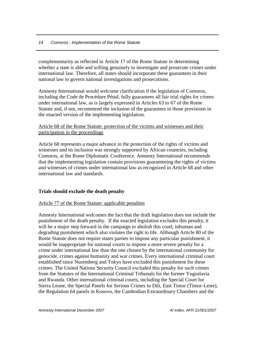complementarity as reflected in Article 17 of the Rome Statute in determining whether a state is able and willing genuinely to investigate and prosecute crimes under international law. Therefore, all states should incorporate these guarantees in their national law to govern national investigations and prosecutions.

Amnesty International would welcome clarification if the legislation of Comoros, including the Code de Procédure Pénal, fully guarantees all fair trial rights for crimes under international law, as is largely expressed in Articles 63 to 67 of the Rome Statute and, if not, recommend the inclusion of the guarantees in those provisions in the enacted version of the implementing legislation.

#### Article 68 of the Rome Statute: protection of the victims and witnesses and their participation in the proceedings

Article 68 represents a major advance in the protection of the rights of victims and witnesses and its inclusion was strongly supported by African countries, including Comoros, at the Rome Diplomatic Conference. Amnesty International recommends that the implementing legislation contain provisions guaranteeing the rights of victims and witnesses of crimes under international law as recognized in Article 68 and other international law and standards.

#### <span id="page-15-0"></span>**Trials should exclude the death penalty**

#### Article 77 of the Rome Statute: applicable penalties

Amnesty International welcomes the fact that the draft legislation does not include the punishment of the death penalty. If the enacted legislation excludes this penalty, it will be a major step forward in the campaign to abolish this cruel, inhuman and degrading punishment which also violates the right to life. Although Article 80 of the Rome Statute does not require states parties to impose any particular punishment, it would be inappropriate for national courts to impose a more severe penalty for a crime under international law than the one chosen by the international community for genocide, crimes against humanity and war crimes. Every international criminal court established since Nuremberg and Tokyo have excluded this punishment for these crimes. The United Nations Security Council excluded this penalty for such crimes from the Statutes of the International Criminal Tribunals for the former Yugoslavia and Rwanda. Other international criminal courts, including the Special Court for Sierra Leone, the Special Panels for Serious Crimes in Dili, East Timor (Timor-Leste), the Regulation 64 panels in Kosovo, the Cambodian Extraordinary Chambers and the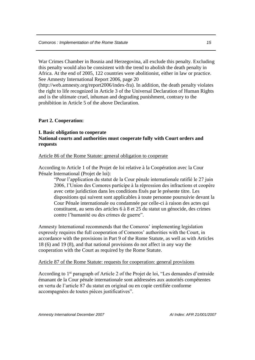War Crimes Chamber in Bosnia and Herzegovina, all exclude this penalty. Excluding this penalty would also be consistent with the trend to abolish the death penalty in Africa. At the end of 2005, 122 countries were abolitionist, either in law or practice. See Amnesty International Report 2006, page 20

(http://web.amnesty.org/report2006/index-fra). In addition, the death penalty violates the right to life recognized in Article 3 of the Universal Declaration of Human Rights and is the ultimate cruel, inhuman and degrading punishment, contrary to the prohibition in Article 5 of the above Declaration.

#### <span id="page-16-0"></span>**Part 2. Cooperation:**

#### <span id="page-16-2"></span><span id="page-16-1"></span>**I. Basic obligation to cooperate National courts and authorities must cooperate fully with Court orders and requests**

#### Article 86 of the Rome Statute: general obligation to cooperate

According to Article 1 of the Projet de loi relative à la Coopération avec la Cour Pénale International (Projet de loi):

"Pour l'application du statut de la Cour pénale internationale ratifié le 27 juin 2006, l'Union des Comores participe à la répression des infractions et coopère avec cette juridiction dans les conditions fixés par le présente titre. Les dispositions qui suivent sont applicables à toute personne poursuivie devant la Cour Pénale internationale ou condamnée par celle-ci à raison des actes qui constituent, au sens des articles 6 à 8 et 25 du statut un génocide, des crimes contre l'humanité ou des crimes de guerre".

Amnesty International recommends that the Comoros' implementing legislation expressly requires the full cooperation of Comoros' authorities with the Court, in accordance with the provisions in Part 9 of the Rome Statute, as well as with Articles 18 (6) and 19 (8), and that national provisions do not affect in any way the cooperation with the Court as required by the Rome Statute.

#### Article 87 of the Rome Statute: requests for cooperation: general provisions

According to 1st paragraph of Article 2 of the Projet de loi, "Les demandes d'entraide émanant de la Cour pénale internationale sont addressées aux autorités compétentes en vertu de l'article 87 du statut en original ou en copie certifiée conforme accompagnées de toutes pièces justificatives".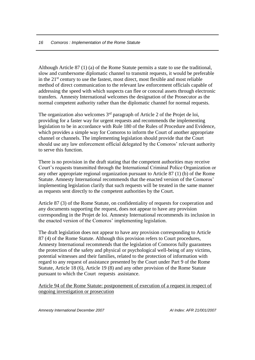Although Article 87 (1) (a) of the Rome Statute permits a state to use the traditional, slow and cumbersome diplomatic channel to transmit requests, it would be preferable in the  $21<sup>st</sup>$  century to use the fastest, most direct, most flexible and most reliable method of direct communication to the relevant law enforcement officials capable of addressing the speed with which suspects can flee or conceal assets through electronic transfers. Amnesty International welcomes the designation of the Prosecutor as the normal competent authority rather than the diplomatic channel for normal requests.

The organization also welcomes  $3<sup>rd</sup>$  paragraph of Article 2 of the Projet de loi, providing for a faster way for urgent requests and recommends the implementing legislation to be in accordance with Rule 180 of the Rules of Procedure and Evidence, which provides a simple way for Comoros to inform the Court of another appropriate channel or channels. The implementing legislation should provide that the Court should use any law enforcement official delegated by the Comoros' relevant authority to serve this function.

There is no provision in the draft stating that the competent authorities may receive Court's requests transmitted through the International Criminal Police Organization or any other appropriate regional organization pursuant to Article 87 (1) (b) of the Rome Statute. Amnesty International recommends that the enacted version of the Comoros' implementing legislation clarify that such requests will be treated in the same manner as requests sent directly to the competent authorities by the Court.

Article 87 (3) of the Rome Statute, on confidentiality of requests for cooperation and any documents supporting the request, does not appear to have any provision corresponding in the Projet de loi. Amnesty International recommends its inclusion in the enacted version of the Comoros' implementing legislation.

The draft legislation does not appear to have any provision corresponding to Article 87 (4) of the Rome Statute. Although this provision refers to Court procedures, Amnesty International recommends that the legislation of Comoros fully guarantees the protection of the safety and physical or psychological well-being of any victims, potential witnesses and their families, related to the protection of information with regard to any request of assistance presented by the Court under Part 9 of the Rome Statute, Article 18 (6), Article 19 (8) and any other provision of the Rome Statute pursuant to which the Court requests assistance.

Article 94 of the Rome Statute: postponement of execution of a request in respect of ongoing investigation or prosecution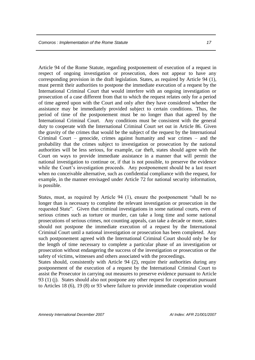Article 94 of the Rome Statute, regarding postponement of execution of a request in respect of ongoing investigation or prosecution, does not appear to have any corresponding provision in the draft legislation. States, as required by Article 94 (1), must permit their authorities to postpone the immediate execution of a request by the International Criminal Court that would interfere with an ongoing investigation or prosecution of a case different from that to which the request relates only for a period of time agreed upon with the Court and only after they have considered whether the assistance may be immediately provided subject to certain conditions. Thus, the period of time of the postponement must be no longer than that agreed by the International Criminal Court. Any conditions must be consistent with the general duty to cooperate with the International Criminal Court set out in Article 86. Given the gravity of the crimes that would be the subject of the request by the International Criminal Court – genocide, crimes against humanity and war crimes – and the probability that the crimes subject to investigation or prosecution by the national authorities will be less serious, for example, car theft, states should agree with the Court on ways to provide immediate assistance in a manner that will permit the national investigation to continue or, if that is not possible, to preserve the evidence while the Court's investigation proceeds. Any postponement should be a last resort when no conceivable alternative, such as confidential compliance with the request, for example, in the manner envisaged under Article 72 for national security information, is possible.

States, must, as required by Article 94 (1), ensure the postponement "shall be no longer than is necessary to complete the relevant investigation or prosecution in the requested State". Given that criminal investigations in some national courts, even of serious crimes such as torture or murder, can take a long time and some national prosecutions of serious crimes, not counting appeals, can take a decade or more, states should not postpone the immediate execution of a request by the International Criminal Court until a national investigation or prosecution has been completed. Any such postponement agreed with the International Criminal Court should only be for the length of time necessary to complete a particular phase of an investigation or prosecution without endangering the success of the investigation or prosecution or the safety of victims, witnesses and others associated with the proceedings.

States should, consistently with Article 94 (2), require their authorities during any postponement of the execution of a request by the International Criminal Court to assist the Prosecutor in carrying out measures to preserve evidence pursuant to Article 93 (1) (j). States should also not postpone any other request for cooperation pursuant to Articles 18 (6), 19 (8) or 93 where failure to provide immediate cooperation would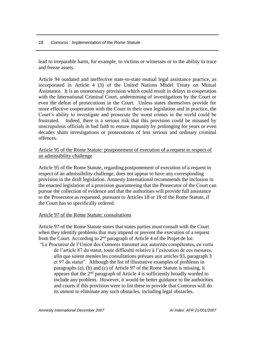lead to irreparable harm, for example, to victims or witnesses or to the ability to trace and freeze assets.

Article 94 outdated and ineffective state-to-state mutual legal assistance practice, as incorporated in Article 4 (3) of the United Nations Model Treaty on Mutual Assistance. It is an unnecessary provision which could result in delays in cooperation with the International Criminal Court, undermining of investigations by the Court or even the defeat of prosecutions in the Court. Unless states themselves provide for more effective cooperation with the Court in their own legislation and in practice, the Court's ability to investigate and prosecute the worst crimes in the world could be frustrated. Indeed, there is a serious risk that this provision could be misused by unscrupulous officials in bad faith to ensure impunity by prolonging for years or even decades sham investigations or prosecutions of less serious and ordinary criminal offences.

#### Article 95 of the Rome Statute: postponement of execution of a request in respect of an admissibility challenge

Article 95 of the Rome Statute, regarding postponement of execution of a request in respect of an admissibility challenge, does not appear to have any corresponding provision in the draft legislation. Amnesty International recommends the inclusion in the enacted legislation of a provision guaranteeing that the Prosecutor of the Court can pursue the collection of evidence and that the authorities will provide full assistance to the Prosecutor as requested, pursuant to Articles 18 or 19 of the Rome Statute, if the Court has so specifically ordered.

#### Article 97 of the Rome Statute: consultations

Article 97 of the Rome Statute states that states parties must consult with the Court when they identify problems that may impend or prevent the execution of a request from the Court. According to 2nd paragraph of Article 4 of the Projet de loi: "Le Procureur de l'Union des Comores transmet aux autorités compétentes, en vertu de l'article 87 du statut, toute difficulté relative à l'exécution de ces mesures, afin que soient menées les consultations prévues aux articles 93, paragraph 3 et 97 du statut". Although the list of illustrative examples of problems in paragraphs (a), (b) and (c) of Article 97 of the Rome Statute is missing, it appears that the  $2<sup>nd</sup>$  paragraph of Article 4 is sufficiently broadly worded to include any problem. However, it would be better guidance to the authorities and courts if this provision were to list these to provide that Comoros will do its utmost to eliminate any such obstacles, including legal obstacles.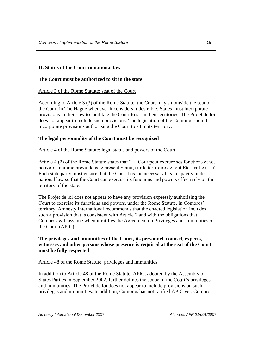#### <span id="page-20-0"></span>**II. Status of the Court in national law**

#### <span id="page-20-1"></span>**The Court must be authorized to sit in the state**

Article 3 of the Rome Statute: seat of the Court

According to Article 3 (3) of the Rome Statute, the Court may sit outside the seat of the Court in The Hague whenever it considers it desirable. States must incorporate provisions in their law to facilitate the Court to sit in their territories. The Projet de loi does not appear to include such provisions. The legislation of the Comoros should incorporate provisions authorizing the Court to sit in its territory.

#### <span id="page-20-2"></span>**The legal personnality of the Court must be recognized**

#### Article 4 of the Rome Statute: legal status and powers of the Court

Article 4 (2) of the Rome Statute states that "La Cour peut exercer ses fonctions et ses pouvoirs, comme prévu dans le présent Statut, sur le territoire de tout État partie (…)". Each state party must ensure that the Court has the necessary legal capacity under national law so that the Court can exercise its functions and powers effectively on the territory of the state.

The Projet de loi does not appear to have any provision expressly authorising the Court to exercise its functions and powers, under the Rome Statute, in Comoros' territory. Amnesty International recommends that the enacted legislation includes such a provision that is consistent with Article 2 and with the obligations that Comoros will assume when it ratifies the Agreement on Privileges and Immunities of the Court (APIC).

#### <span id="page-20-3"></span>**The privileges and immunities of the Court, its personnel, counsel, experts, witnesses and other persons whose presence is required at the seat of the Court must be fully respected**

#### Article 48 of the Rome Statute: privileges and immunities

In addition to Article 48 of the Rome Statute, APIC, adopted by the Assembly of States Parties in September 2002, further defines the scope of the Court's privileges and immunities. The Projet de loi does not appear to include provisions on such privileges and immunities. In addition, Comoros has not ratified APIC yet. Comoros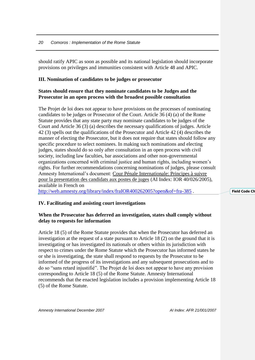should ratify APIC as soon as possible and its national legislation should incorporate provisions on privileges and immunities consistent with Article 48 and APIC.

#### <span id="page-21-0"></span>**III. Nomination of candidates to be judges or prosecutor**

#### <span id="page-21-1"></span>**States should ensure that they nominate candidates to be Judges and the Prosecutor in an open process with the broadest possible consultation**

The Projet de loi does not appear to have provisions on the processes of nominating candidates to be judges or Prosecutor of the Court. Article 36 (4) (a) of the Rome Statute provides that any state party may nominate candidates to be judges of the Court and Article 36 (3) (a) describes the necessary qualifications of judges. Article 42 (3) spells out the qualifications of the Prosecutor and Article 42 (4) describes the manner of electing the Prosecutor, but it does not require that states should follow any specific procedure to select nominees. In making such nominations and electing judges, states should do so only after consultation in an open process with civil society, including law faculties, bar associations and other non-governmental organizations concerned with criminal justice and human rights, including women's rights. For further recommendations concerning nominations of judges, please consult Amnesty International's document: Cour Pénale Internationale: Principes à suivre pour la presentation des candidats aux postes de juges (AI Index: IOR 40/026/2005), available in French on

<http://web.amnesty.org/library/index/fraIOR400262005?open&of=fra-385>.

**Field Code Change** 

#### <span id="page-21-2"></span>**IV. Facilitating and assisting court investigations**

#### <span id="page-21-3"></span>**When the Prosecutor has deferred an investigation, states shall comply without delay to requests for information**

Article 18 (5) of the Rome Statute provides that when the Prosecutor has deferred an investigation at the request of a state pursuant to Article 18 (2) on the ground that it is investigating or has investigated its nationals or others within its jurisdiction with respect to crimes under the Rome Statute which the Prosecutor has informed states he or she is investigating, the state shall respond to requests by the Prosecutor to be informed of the progress of its investigations and any subsequent prosecutions and to do so "sans retard injustifié". The Projet de loi does not appear to have any provision corresponding to Article 18 (5) of the Rome Statute. Amnesty International recommends that the enacted legislation includes a provision implementing Article 18 (5) of the Rome Statute.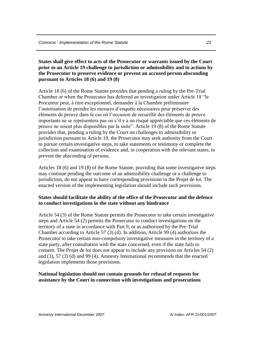#### <span id="page-22-0"></span>**States shall give effect to acts of the Prosecutor or warrants issued by the Court prior to an Article 19 challenge to jurisdiction or admissibility and to actions by the Prosecutor to preserve evidence or prevent an accused person absconding pursuant to Articles 18 (6) and 19 (8)**

Article 18 (6) of the Rome Statute provides that pending a ruling by the Pre-Trial Chamber or when the Prosecutor has deferred an investigation under Article 18 "le Procureur peut, à titre exceptionnel, demander à la Chambre préliminaire l'autorisation de prendre les mesures d'enquête nécessaires pour préserver des éléments de preuve dans le cas où l'occasion de recueillir des éléments de preuve importants ne se représentera pas ou s'il y a un risqué appréciable que ces éléments de preuve ne soient plus disponibles par la suite". Article 19 (8) of the Rome Statute provides that, pending a ruling by the Court on challenges to admissibility or jurisdiction pursuant to Article 19, the Prosecutor may seek authority from the Court to pursue certain investigative steps, to take statements or testimony or complete the collection and examination of evidence and, in cooperation with the relevant states, to prevent the absconding of persons.

Articles 18 (6) and 19 (8) of the Rome Statute, providing that some investigative steps may continue pending the outcome of an admissibility challenge or a challenge to jurisdiction, do not appear to have corresponding provisions in the Projet de loi. The enacted version of the implementing legislation should include such provisions.

#### <span id="page-22-1"></span>**States should facilitate the ability of the office of the Prosecutor and the defence to conduct investigations in the state without any hindrance**

Article 54 (3) of the Rome Statute permits the Prosecutor to take certain investigative steps and Article 54 (2) permits the Prosecutor to conduct investigations on the territory of a state in accordance with Part 9, or as authorized by the Pre-Trial Chamber according to Article 57 (3) (d). In addition, Article 99 (4) authorizes the Prosecutor to take certain non-compulsory investigative measures in the territory of a state party, after consultation with the state concerned, even if the state fails to consent. The Projet de loi does not appear to include any provision on Articles 54 (2) and (3), 57 (3) (d) and 99 (4). Amnesty International recommends that the enacted legislation implements those provisions.

#### <span id="page-22-2"></span>**National legislation should not contain grounds for refusal of requests for assistance by the Court in connection with investigations and prosecutions**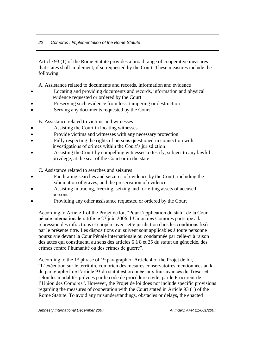Article 93 (1) of the Rome Statute provides a broad range of cooperative measures that states shall implement, if so requested by the Court. These measures include the following:

A. Assistance related to documents and records, information and evidence

- Locating and providing documents and records, information and physical evidence requested or ordered by the Court
- Preserving such evidence from loss, tampering or destruction
- Serving any documents requested by the Court

B. Assistance related to victims and witnesses

- Assisting the Court in locating witnesses
- Provide victims and witnesses with any necessary protection
- Fully respecting the rights of persons questioned in connection with investigations of crimes within the Court's jurisdiction
- Assisting the Court by compelling witnesses to testify, subject to any lawful privilege, at the seat of the Court or in the state

C. Assistance related to searches and seizures

- Facilitating searches and seizures of evidence by the Court, including the exhumation of graves, and the preservation of evidence
- Assisting in tracing, freezing, seizing and forfeiting assets of accused persons
- Providing any other assistance requested or ordered by the Court

According to Article 1 of the Projet de loi, "Pour l'application du statut de la Cour pénale internationale ratifié le 27 juin 2006, l'Union des Comores participe à la répression des infractions et coopère avec cette juridiction dans les conditions fixés par le présente titre. Les dispositions qui suivent sont applicables à toute personne poursuivie devant la Cour Pénale internationale ou condamnée par celle-ci à raison des actes qui constituent, au sens des articles 6 à 8 et 25 du statut un génocide, des crimes contre l'humanité ou des crimes de guerre".

According to the  $1<sup>st</sup>$  phrase of  $1<sup>st</sup>$  paragraph of Article 4 of the Projet de loi, "L'exécution sur le territoire comorien des mesures conservatoires mentionnées au k du paragraphe I de l'article 93 du statut est ordonée, aux frais avancés du Trésor et selon les modalités prévues par le code de procédure civile, par le Procureur de l'Union des Comores". However, the Projet de loi does not include specific provisions regarding the measures of cooperation with the Court stated in Article 93 (1) of the Rome Statute. To avoid any misunderstandings, obstacles or delays, the enacted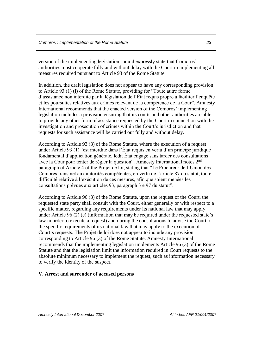version of the implementing legislation should expressly state that Comoros' authorities must cooperate fully and without delay with the Court in implementing all measures required pursuant to Article 93 of the Rome Statute.

In addition, the draft legislation does not appear to have any corresponding provision to Article 93 (1) (l) of the Rome Statute, providing for "Toute autre forme d'assistance non interdite par la législation de l'État requis propre à faciliter l'enquête et les poursuites relatives aux crimes relevant de la compétence de la Cour". Amnesty International recommends that the enacted version of the Comoros' implementing legislation includes a provision ensuring that its courts and other authorities are able to provide any other form of assistance requested by the Court in connection with the investigation and prosecution of crimes within the Court's jurisdiction and that requests for such assistance will be carried out fully and without delay.

According to Article 93 (3) of the Rome Statute, where the execution of a request under Article 93 (1) "est interdite dans l'État requis en vertu d'un principe juridique fondamental d'application générale, ledit État engage sans tarder des consultations avec la Cour pour tenter de régler la question". Amnesty International notes 2nd paragraph of Article 4 of the Projet de loi, stating that "Le Procureur de l'Union des Comores transmet aux autorités compétentes, en vertu de l'article 87 du statut, toute difficulté relative à l'exécution de ces mesures, afin que soient menées les consultations prévues aux articles 93, paragraph 3 e 97 du statut".

According to Article 96 (3) of the Rome Statute, upon the request of the Court, the requested state party shall consult with the Court, either generally or with respect to a specific matter, regarding any requirements under its national law that may apply under Article 96 (2) (e) (information that may be required under the requested state's law in order to execute a request) and during the consultations to advise the Court of the specific requirements of its national law that may apply to the execution of Court's requests. The Projet de loi does not appear to include any provision corresponding to Article 96 (3) of the Rome Statute. Amnesty International recommends that the implementing legislation implements Article 96 (3) of the Rome Statute and that the legislation limit the information required in Court requests to the absolute minimum necessary to implement the request, such as information necessary to verify the identity of the suspect.

#### <span id="page-24-0"></span>**V. Arrest and surrender of accused persons**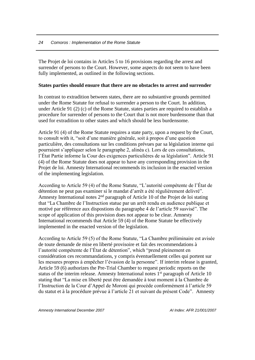The Projet de loi contains in Articles 5 to 16 provisions regarding the arrest and surrender of persons to the Court. However, some aspects do not seem to have been fully implemented, as outlined in the following sections.

#### <span id="page-25-0"></span>**States parties should ensure that there are no obstacles to arrest and surrender**

In contrast to extradition between states, there are no substantive grounds permitted under the Rome Statute for refusal to surrender a person to the Court. In addition, under Article 91 (2) (c) of the Rome Statute, states parties are required to establish a procedure for surrender of persons to the Court that is not more burdensome than that used for extradition to other states and which should be less burdensome.

Article 91 (4) of the Rome Statute requires a state party, upon a request by the Court, to consult with it, "soit d'une manière générale, soit à propos d'une question particulière, des consultations sur les conditions prévues par sa législation interne qui pourraient s'appliquer selon le paragraphe 2, alinéa c). Lors de ces consultations, l'État Partie informe la Cour des exigences particulières de sa législation". Article 91 (4) of the Rome Statute does not appear to have any corresponding provision in the Projet de loi. Amnesty International recommends its inclusion in the enacted version of the implementing legislation.

According to Article 59 (4) of the Rome Statute, "L'autorité compétente de l'État de détention ne peut pas examiner si le mandat d'arrêt a été régulièrement delivré". Amnesty International notes  $2<sup>nd</sup>$  paragraph of Article 10 of the Projet de loi stating that "La Chambre de l'Instruction statue par un arrêt rendu en audience publique et motivé par référence aux dispostions du paragraphe 4 de l'article 59 susvisé". The scope of application of this provision does not appear to be clear. Amnesty International recommends that Article 59 (4) of the Rome Statute be effectively implemented in the enacted version of the legislation.

According to Article 59 (5) of the Rome Statute, "La Chambre préliminaire est avisée de toute demande de mise en liberté provisoire et fait des recommendations à l'autorité compétente de l'État de détention", which "prend pleinement en considération ces recommandations, y compris éventuellement celles qui portent sur les mesures propres à empêcher l'évasion de la personne". If interim release is granted, Article 59 (6) authorizes the Pre-Trial Chamber to request periodic reports on the status of the interim release. Amnesty International notes 1<sup>st</sup> paragraph of Article 10 stating that "La mise en liberté peut être demandée à tout moment à la Chambre de l'Instruction de la Cour d'Appel de Moroni qui procède conformément à l'article 59 du statut et à la procédure prévue à l'article 21 et suivant du présent Code". Amnesty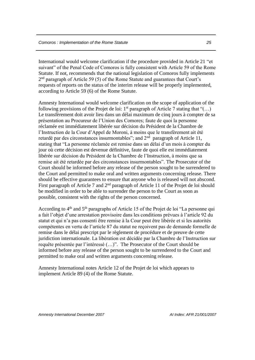International would welcome clarification if the procedure provided in Article 21 "et suivant" of the Penal Code of Comoros is fully consistent with Article 59 of the Rome Statute. If not, recommends that the national legislation of Comoros fully implements 2<sup>nd</sup> paragraph of Article 59 (5) of the Rome Statute and guarantees that Court's requests of reports on the status of the interim release will be properly implemented, according to Article 59 (6) of the Rome Statute.

Amnesty International would welcome clarification on the scope of application of the following provisions of the Projet de loi:  $1<sup>st</sup>$  paragraph of Article 7 stating that "(...) Le transfèrement doit avoir lieu dans un délai maximum de cinq jours à compter de sa présentation au Procureur de l'Union des Comores; faute de quoi la personne réclamée est immédiatement libérée sur décision du Président de la Chambre de l'Instruction de la Cour d'Appel de Moroni, à moins que le transfèrement ait été retardé par des circonstances insurmontables"; and  $2<sup>nd</sup>$  paragraph of Article 11, stating that "La personne réclamée est remise dans un délai d'un mois à compter du jour où cette décision est devenue définitive, faute de quoi elle est immédiatement libérée sur décision du Président de la Chambre de l'Instruction, à moins que sa remise ait été retardée par des circonstances insurmontables". The Prosecutor of the Court should be informed before any release of the person sought to be surrendered to the Court and permitted to make oral and written arguments concerning release. There should be effective guarantees to ensure that anyone who is released will not abscond. First paragraph of Article 7 and  $2<sup>nd</sup>$  paragraph of Article 11 of the Projet de loi should be modified in order to be able to surrender the person to the Court as soon as possible, consistent with the rights of the person concerned.

According to 4th and 5th paragraphs of Article 15 of the Projet de loi "La personne qui a fait l'objet d'une arrestation provisoire dans les conditions prévues à l'article 92 du statut et qui n'a pas consenti être remise à la Cour peut être libérée et si les autorités compétentes en vertu de l'article 87 du statut ne reçoivent pas de demande formelle de remise dans le délai prescript par le règlement de procédure et de preuve de cette juridiction internationale. La libération est décidée par la Chambre de l'Instruction sur requête présentée par l'intéressé (…)". The Prosecutor of the Court should be informed before any release of the person sought to be surrendered to the Court and permitted to make oral and written arguments concerning release.

Amnesty International notes Article 12 of the Projet de loi which appears to implement Article 89 (4) of the Rome Statute.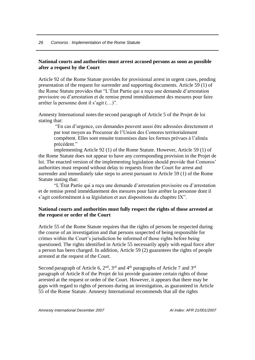#### <span id="page-27-0"></span>**National courts and authorities must arrest accused persons as soon as possible after a request by the Court**

Article 92 of the Rome Statute provides for provisional arrest in urgent cases, pending presentation of the request for surrender and supporting documents. Article 59 (1) of the Rome Statute provides that "L'État Partie qui a reçu une demande d'arrestation provisoire ou d'arrestation et de remise prend immédiatement des mesures pour faire arrêter la personne dont il s'agit (…)".

Amnesty International notes the second paragraph of Article 5 of the Projet de loi stating that:

"En cas d'urgence, ces demandes peuvent aussi être adressées directement et par tout moyen au Procureur de l'Union des Comores territorialement compétent. Elles sont ensuite transmises dans les formes prévues à l'alinéa précédent."

implementing Article 92 (1) of the Rome Statute. However, Article 59 (1) of the Rome Statute does not appear to have any corresponding provision in the Projet de loi. The enacted version of the implementing legislation should provide that Comoros' authorities must respond without delay to requests from the Court for arrest and surrender and immediately take steps to arrest pursuant to Article 59 (1) of the Rome Statute stating that:

"L'État Partie qui a reçu une demande d'arrestation provisoire ou d'arrestation et de remise prend immédiatement des mesures pour faire arrêter la personne dont il s'agit conformément à sa législation et aux dispositions du chapitre IX".

#### <span id="page-27-1"></span>**National courts and authorities must fully respect the rights of those arrested at the request or order of the Court**

Article 55 of the Rome Statute requires that the rights of persons be respected during the course of an investigation and that persons suspected of being responsible for crimes within the Court's jurisdiction be informed of those rights before being questioned. The rights identified in Article 55 necessarily apply with equal force after a person has been charged. In addition, Article 59 (2) guarantees the rights of people arrested at the request of the Court.

Second paragraph of Article 6,  $2<sup>nd</sup>$ ,  $3<sup>rd</sup>$  and  $4<sup>th</sup>$  paragraphs of Article 7 and  $3<sup>rd</sup>$ paragraph of Article 8 of the Projet de loi provide guarantee certain rights of those arrested at the request or order of the Court. However, it appears that there may be gaps with regard to rights of persons during an investigation, as guaranteed in Article 55 of the Rome Statute. Amnesty International recommends that all the rights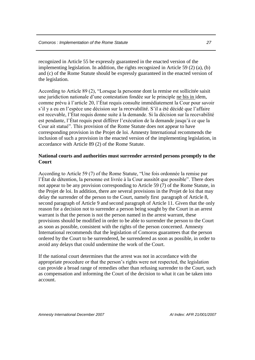recognized in Article 55 be expressly guaranteed in the enacted version of the implementing legislation. In addition, the rights recognized in Article 59 (2) (a), (b) and (c) of the Rome Statute should be expressly guaranteed in the enacted version of the legislation.

According to Article 89 (2), "Lorsque la personne dont la remise est sollicitée saisit une juridiction nationale d'une contestation fondée sur le principle ne bis in idem, comme prévu à l'article 20, l'État requis consulte immédiatement la Cour pour savoir s'il y a eu en l'espèce une décision sur la recevabilité. S'il a été décidé que l'affaire est recevable, l'État requis donne suite à la demande. Si la décision sur la recevabilité est pendante, l'État requis peut différer l'exécution de la demande jusqu'à ce que la Cour ait statué". This provision of the Rome Statute does not appear to have corresponding provision in the Projet de loi. Amnesty International recommends the inclusion of such a provision in the enacted version of the implementing legislation, in accordance with Article 89 (2) of the Rome Statute.

#### <span id="page-28-0"></span>**National courts and authorities must surrender arrested persons promptly to the Court**

According to Article 59 (7) of the Rome Statute, "Une fois ordonnée la remise par l'État de détention, la personne est livrée à la Cour aussitôt que possible". There does not appear to be any provision corresponding to Article 59 (7) of the Rome Statute, in the Projet de loi. In addition, there are several provisions in the Projet de loi that may delay the surrender of the person to the Court, namely first paragraph of Article 8, second paragraph of Article 9 and second paragraph of Article 11. Given that the only reason for a decision not to surrender a person being sought by the Court in an arrest warrant is that the person is not the person named in the arrest warrant, these provisions should be modified in order to be able to surrender the person to the Court as soon as possible, consistent with the rights of the person concerned. Amnesty International recommends that the legislation of Comoros guarantees that the person ordered by the Court to be surrendered, be surrendered as soon as possible, in order to avoid any delays that could undermine the work of the Court.

If the national court determines that the arrest was not in accordance with the appropriate procedure or that the person's rights were not respected, the legislation can provide a broad range of remedies other than refusing surrender to the Court, such as compensation and informing the Court of the decision to what it can be taken into account.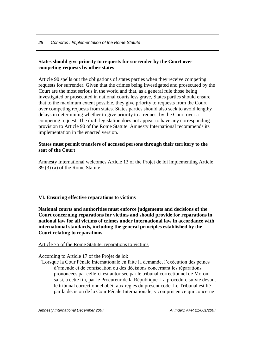#### <span id="page-29-0"></span>**States should give priority to requests for surrender by the Court over competing requests by other states**

Article 90 spells out the obligations of states parties when they receive competing requests for surrender. Given that the crimes being investigated and prosecuted by the Court are the most serious in the world and that, as a general rule those being investigated or prosecuted in national courts less grave, States parties should ensure that to the maximum extent possible, they give priority to requests from the Court over competing requests from states. States parties should also seek to avoid lengthy delays in determining whether to give priority to a request by the Court over a competing request. The draft legislation does not appear to have any corresponding provision to Article 90 of the Rome Statute. Amnesty International recommends its implementation in the enacted version.

#### <span id="page-29-1"></span>**States must permit transfers of accused persons through their territory to the seat of the Court**

Amnesty International welcomes Article 13 of the Projet de loi implementing Article 89 (3) (a) of the Rome Statute.

#### <span id="page-29-2"></span>**VI. Ensuring effective reparations to victims**

<span id="page-29-3"></span>**National courts and authorities must enforce judgements and decisions of the Court concerning reparations for victims and should provide for reparations in national law for all victims of crimes under international law in accordance with international standards, including the general principles established by the Court relating to reparations** 

Article 75 of the Rome Statute: reparations to victims

According to Article 17 of the Projet de loi:

"Lorsque la Cour Pénale Internationale en faite la demande, l'exécution des peines d'amende et de confiscation ou des décisions concernant les réparations prononcées par celle-ci est autorisée par le tribunal correctionnel de Moroni saisi, à cette fin, par le Procureur de la République. La procédure suivie devant le tribunal correctionnel obéit aux règles du présent code. Le Tribunal est lié par la décision de la Cour Pénale Internationale, y compris en ce qui concerne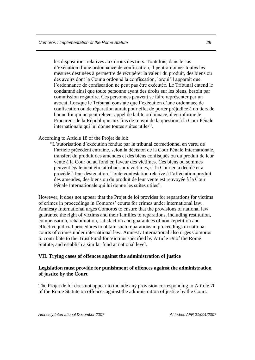les dispositions relatives aux droits des tiers. Toutefois, dans le cas d'exécution d'une ordonnance de confiscation, il peut ordonner toutes les mesures destinées à permettre de récupérer la valeur du produit, des biens ou des avoirs dont la Cour a ordonné la confiscation, lorqui'il apparaît que l'ordonnance de confiscation ne peut pas être exécutée. Le Tribunal entend le condamné ainsi que toute personne ayant des droits sur les biens, besoin par commission rogatoire. Ces personnes peuvent se faire représenter par un avocat. Lorsque le Tribunal constate que l'exécution d'une ordonnace de confiscation ou de réparation aurait pour effet de porter préjudice à un tiers de bonne foi qui ne peut relever appel de ladite ordonnace, il en informe le Procureur de la République aux fins de renvoi de la question à la Cour Pénale internationale qui lui donne toutes suites utiles".

According to Article 18 of the Projet de loi:

 "L'autorisation d'exécution rendue par le tribunal correctionnel en vertu de l'article précédent entraîne, selon la décision de la Cour Pénale Internationale, transfert du produit des amendes et des biens confisqués ou du produit de leur vente à la Cour ou au fond en faveur des victimes. Ces biens ou sommes peuvent également être attribués aux victimes, si la Cour en a décidé et a procédé à leur désignation. Toute contestation relative à l'affectation produit des amendes, des biens ou du produit de leur vente est renvoyée à la Cour Pénale Internationale qui lui donne les suites utiles".

However, it does not appear that the Projet de loi provides for reparations for victims of crimes in proceedings in Comoros' courts for crimes under international law. Amnesty International urges Comoros to ensure that the provisions of national law guarantee the right of victims and their families to reparations, including restitution, compensation, rehabilitation, satisfaction and guarantees of non-repetition and effective judicial procedures to obtain such reparations in proceedings in national courts of crimes under international law. Amnesty International also urges Comoros to contribute to the Trust Fund for Victims specified by Article 79 of the Rome Statute, and establish a similar fund at national level.

#### <span id="page-30-0"></span>**VII. Trying cases of offences against the administration of justice**

#### <span id="page-30-1"></span>**Legislation must provide for punishment of offences against the administration of justice by the Court**

The Projet de loi does not appear to include any provision corresponding to Article 70 of the Rome Statute on offences against the administration of justice by the Court.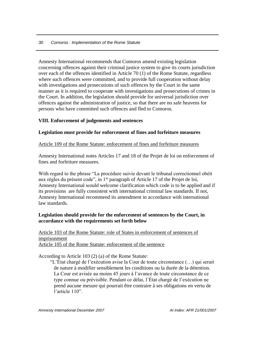Amnesty International recommends that Comoros amend existing legislation concerning offences against their criminal justice system to give its courts jurisdiction over each of the offences identified in Article 70 (1) of the Rome Statute, regardless where such offences were committed, and to provide full cooperation without delay with investigations and prosecutions of such offences by the Court in the same manner as it is required to cooperate with investigations and prosecutions of crimes in the Court. In addition, the legislation should provide for universal jurisdiction over offences against the administration of justice, so that there are no safe heavens for persons who have committed such offences and fled to Comoros.

#### <span id="page-31-0"></span>**VIII. Enforcement of judgements and sentences**

#### <span id="page-31-1"></span>**Legislation must provide for enforcement of fines and forfeiture measures**

Article 109 of the Rome Statute: enforcement of fines and forfeiture measures

Amnesty International notes Articles 17 and 18 of the Projet de loi on enforcement of fines and forfeiture measures.

With regard to the phrase "La procédure suivie devant le tribunal correctionnel obéit aux règles du présent code", in 1st paragraph of Article 17 of the Projet de loi, Amnesty International would welcome clarification which code is to be applied and if its provisions are fully consistent with international criminal law standards. If not, Amnesty International recommend its amendment in accordance with international law standards.

#### <span id="page-31-2"></span>**Legislation should provide for the enforcement of sentences by the Court, in accordance with the requirements set forth below**

Article 103 of the Rome Statute: role of States in enforcement of sentences of imprisonment Article 105 of the Rome Statute: enforcement of the sentence

According to Article 103 (2) (a) of the Rome Statute:

 "L'État chargé de l'exécution avise la Cour de toute circonstance (…) qui serait de nature à modifier sensiblement les conditions ou la durée de la détention. La Cour est avisée au moins 45 jours à l'avance de toute circonstance de ce type connue ou prévisible. Pendant ce délai, l'État chargé de l'exécution ne prend aucune mesure qui pourrait être contraire à ses obligations en vertu de l'article 110".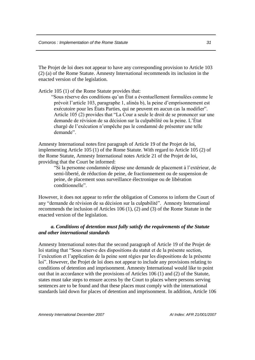The Projet de loi does not appear to have any corresponding provision to Article 103 (2) (a) of the Rome Statute. Amnesty International recommends its inclusion in the enacted version of the legislation.

Article 105 (1) of the Rome Statute provides that:

 "Sous réserve des conditions qu'un État a éventuellement formulées comme le prévoit l'article 103, paragraphe 1, alinéa b), la peine d'emprisonnement est exécutoire pour les États Parties, qui ne peuvent en aucun cas la modifier". Article 105 (2) provides that "La Cour a seule le droit de se prononcer sur une demande de révision de sa décision sur la culpabilité ou la peine. L'État chargé de l'exécution n'empêche pas le condamné de présenter une telle demande".

Amnesty International notes first paragraph of Article 19 of the Projet de loi, implementing Article 105 (1) of the Rome Statute. With regard to Article 105 (2) of the Rome Statute, Amnesty International notes Article 21 of the Projet de loi, providing that the Court be informed:

 "Si la personne condamnée dépose une demande de placement à l'extérieur, de semi-liberté, de réduction de peine, de fractionnement ou de suspension de peine, de placement sous surveillance électronique ou de libération conditionnelle".

However, it does not appear to refer the obligation of Comoros to inform the Court of any "demande de révision de sa décision sur la culpabilité". Amnesty International recommends the inclusion of Articles 106 (1), (2) and (3) of the Rome Statute in the enacted version of the legislation.

#### *a. Conditions of detention must fully satisfy the requirements of the Statute and other international standards*

Amnesty International notes that the second paragraph of Article 19 of the Projet de loi stating that "Sous réserve des dispositions du statut et de la présente section, l'exécution et l'application de la peine sont régies par les dispositions de la présente loi". However, the Projet de loi does not appear to include any provisions relating to conditions of detention and imprisonment. Amnesty International would like to point out that in accordance with the provisions of Articles 106 (1) and (2) of the Statute, states must take steps to ensure access by the Court to places where persons serving sentences are to be found and that these places must comply with the international standards laid down for places of detention and imprisonment. In addition, Article 106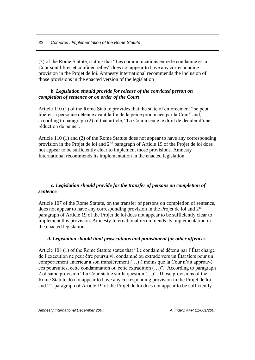(3) of the Rome Statute, stating that "Les communications entre le condamné et la Cour sont libres et confidentielles" does not appear to have any corresponding provision in the Projet de loi. Amnesty International recommends the inclusion of those provisions in the enacted version of the legislation

#### *b*. *Legislation should provide for release of the convicted person on completion of sentence or on order of the Court*

Article 110 (1) of the Rome Statute provides that the state of enforcement "ne peut libérer la personne détenue avant la fin de la peine prononcée par la Cour" and, according to paragraph (2) of that article, "La Cour a seule le droit de décider d'une réduction de peine".

Article 110 (1) and (2) of the Rome Statute does not appear to have any corresponding provision in the Projet de loi and 2nd paragraph of Article 19 of the Projet de loi does not appear to be sufficiently clear to implement those provisions. Amnesty International recommends its implementation in the enacted legislation.

#### *c. Legislation should provide for the transfer of persons on completion of sentence*

Article 107 of the Rome Statute, on the transfer of persons on completion of sentence, does not appear to have any corresponding provision in the Projet de loi and 2nd paragraph of Article 19 of the Projet de loi does not appear to be sufficiently clear to implement this provision. Amnesty International recommends its implementation in the enacted legislation.

#### *d. Legislation should limit prosecutions and punishment for other offences*

Article 108 (1) of the Rome Statute states that "Le condamné détenu par l'État chargé de l'exécution ne peut être poursuivi, condamné ou extradé vers un État tiers pour un comportement antérieur à son transfèrement (…) à moins que la Cour n'ait approuvé ces poursuites, cette condamnation ou cette extradition (…)". According to paragraph 2 of same provision "La Cour statue sur la question (…)". Those provisions of the Rome Statute do not appear to have any corresponding provision in the Projet de loi and 2nd paragraph of Article 19 of the Projet de loi does not appear to be sufficiently